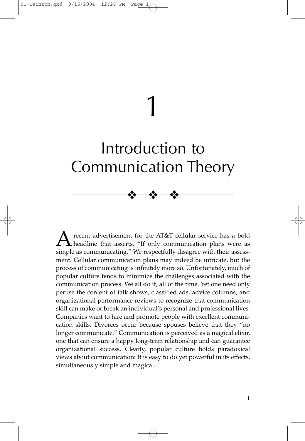❖ ❖ ❖

1

A recent advertisement for the AT&T cellular service has a bold<br>headline that asserts, "If only communication plans were as<br>simple as communicating." We reconstfully diagree with their assess simple as communicating." We respectfully disagree with their assessment. Cellular communication plans may indeed be intricate, but the process of communicating is infinitely more so. Unfortunately, much of popular culture tends to minimize the challenges associated with the communication process. We all do it, all of the time. Yet one need only peruse the content of talk shows, classified ads, advice columns, and organizational performance reviews to recognize that communication skill can make or break an individual's personal and professional lives. Companies want to hire and promote people with excellent communication skills. Divorces occur because spouses believe that they "no longer communicate." Communication is perceived as a magical elixir, one that can ensure a happy long-term relationship and can guarantee organizational success. Clearly, popular culture holds paradoxical views about communication: It is easy to do yet powerful in its effects, simultaneously simple and magical.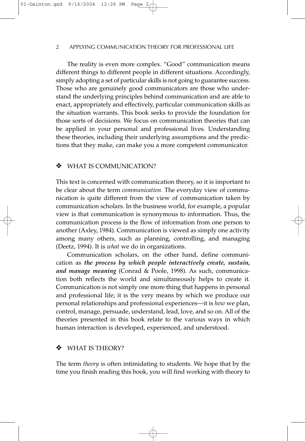The reality is even more complex. "Good" communication means different things to different people in different situations. Accordingly, simply adopting a set of particular skills is not going to guarantee success. Those who are genuinely good communicators are those who understand the underlying principles behind communication and are able to enact, appropriately and effectively, particular communication skills as the situation warrants. This book seeks to provide the foundation for those sorts of decisions. We focus on communication theories that can be applied in your personal and professional lives. Understanding these theories, including their underlying assumptions and the predictions that they make, can make you a more competent communicator.

## WHAT IS COMMUNICATION?

This text is concerned with communication theory, so it is important to be clear about the term *communication.* The everyday view of communication is quite different from the view of communication taken by communication scholars. In the business world, for example, a popular view is that communication is synonymous to information. Thus, the communication process is the flow of information from one person to another (Axley, 1984). Communication is viewed as simply one activity among many others, such as planning, controlling, and managing (Deetz, 1994). It is *what* we do in organizations.

Communication scholars, on the other hand, define communication as *the process by which people interactively create, sustain, and manage meaning* (Conrad & Poole, 1998). As such, communication both reflects the world and simultaneously helps to create it. Communication is not simply one more thing that happens in personal and professional life; it is the very means by which we produce our personal relationships and professional experiences—it is *how* we plan, control, manage, persuade, understand, lead, love, and so on. All of the theories presented in this book relate to the various ways in which human interaction is developed, experienced, and understood.

## ❖ WHAT IS THEORY?

The term *theory* is often intimidating to students. We hope that by the time you finish reading this book, you will find working with theory to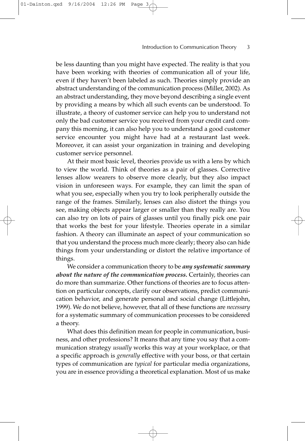be less daunting than you might have expected. The reality is that you have been working with theories of communication all of your life, even if they haven't been labeled as such. Theories simply provide an abstract understanding of the communication process (Miller, 2002). As an abstract understanding, they move beyond describing a single event by providing a means by which all such events can be understood. To illustrate, a theory of customer service can help you to understand not only the bad customer service you received from your credit card company this morning, it can also help you to understand a good customer service encounter you might have had at a restaurant last week. Moreover, it can assist your organization in training and developing customer service personnel.

At their most basic level, theories provide us with a lens by which to view the world. Think of theories as a pair of glasses. Corrective lenses allow wearers to observe more clearly, but they also impact vision in unforeseen ways. For example, they can limit the span of what you see, especially when you try to look peripherally outside the range of the frames. Similarly, lenses can also distort the things you see, making objects appear larger or smaller than they really are. You can also try on lots of pairs of glasses until you finally pick one pair that works the best for your lifestyle. Theories operate in a similar fashion. A theory can illuminate an aspect of your communication so that you understand the process much more clearly; theory also can hide things from your understanding or distort the relative importance of things.

We consider a communication theory to be *any systematic summary about the nature of the communication process.* Certainly, theories can do more than summarize. Other functions of theories are to focus attention on particular concepts, clarify our observations, predict communication behavior, and generate personal and social change (Littlejohn, 1999). We do not believe, however, that all of these functions are *necessary* for a systematic summary of communication processes to be considered a theory.

What does this definition mean for people in communication, business, and other professions? It means that any time you say that a communication strategy *usually* works this way at your workplace, or that a specific approach is *generally* effective with your boss, or that certain types of communication are *typical* for particular media organizations, you are in essence providing a theoretical explanation. Most of us make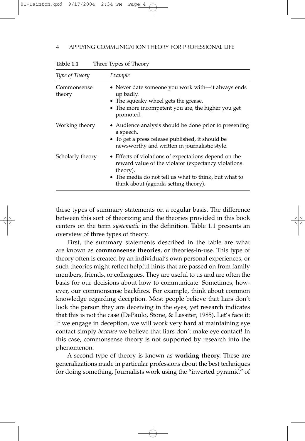**Table 1.1** Three Types of Theory

| Type of Theory        | Example                                                                                                                                                                                                                   |
|-----------------------|---------------------------------------------------------------------------------------------------------------------------------------------------------------------------------------------------------------------------|
| Commonsense<br>theory | • Never date someone you work with—it always ends<br>up badly.<br>• The squeaky wheel gets the grease.<br>• The more incompetent you are, the higher you get<br>promoted.                                                 |
| Working theory        | • Audience analysis should be done prior to presenting<br>a speech.<br>• To get a press release published, it should be<br>newsworthy and written in journalistic style.                                                  |
| Scholarly theory      | • Effects of violations of expectations depend on the<br>reward value of the violator (expectancy violations<br>theory).<br>• The media do not tell us what to think, but what to<br>think about (agenda-setting theory). |

these types of summary statements on a regular basis. The difference between this sort of theorizing and the theories provided in this book centers on the term *systematic* in the definition. Table 1.1 presents an overview of three types of theory.

First, the summary statements described in the table are what are known as **commonsense theories**, or theories-in-use. This type of theory often is created by an individual's own personal experiences, or such theories might reflect helpful hints that are passed on from family members, friends, or colleagues. They are useful to us and are often the basis for our decisions about how to communicate. Sometimes, however, our commonsense backfires. For example, think about common knowledge regarding deception. Most people believe that liars don't look the person they are deceiving in the eyes, yet research indicates that this is not the case (DePaulo, Stone, & Lassiter, 1985). Let's face it: If we engage in deception, we will work very hard at maintaining eye contact simply *because* we believe that liars don't make eye contact! In this case, commonsense theory is not supported by research into the phenomenon.

A second type of theory is known as **working theory.** These are generalizations made in particular professions about the best techniques for doing something. Journalists work using the "inverted pyramid" of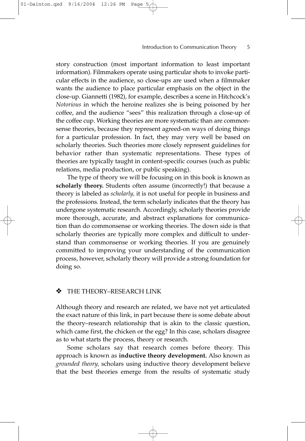story construction (most important information to least important information). Filmmakers operate using particular shots to invoke particular effects in the audience, so close-ups are used when a filmmaker wants the audience to place particular emphasis on the object in the close-up. Giannetti (1982), for example, describes a scene in Hitchcock's *Notorious* in which the heroine realizes she is being poisoned by her coffee, and the audience "sees" this realization through a close-up of the coffee cup. Working theories are more systematic than are commonsense theories, because they represent agreed-on ways of doing things for a particular profession. In fact, they may very well be based on scholarly theories. Such theories more closely represent guidelines for behavior rather than systematic representations. These types of theories are typically taught in content-specific courses (such as public relations, media production, or public speaking).

The type of theory we will be focusing on in this book is known as **scholarly theory.** Students often assume (incorrectly!) that because a theory is labeled as *scholarly,* it is not useful for people in business and the professions. Instead, the term scholarly indicates that the theory has undergone systematic research. Accordingly, scholarly theories provide more thorough, accurate, and abstract explanations for communication than do commonsense or working theories. The down side is that scholarly theories are typically more complex and difficult to understand than commonsense or working theories. If you are genuinely committed to improving your understanding of the communication process, however, scholarly theory will provide a strong foundation for doing so.

## ❖ THE THEORY–RESEARCH LINK

Although theory and research are related, we have not yet articulated the exact nature of this link, in part because there is some debate about the theory–research relationship that is akin to the classic question, which came first, the chicken or the egg? In this case, scholars disagree as to what starts the process, theory or research.

Some scholars say that research comes before theory. This approach is known as **inductive theory development.** Also known as *grounded theory,* scholars using inductive theory development believe that the best theories emerge from the results of systematic study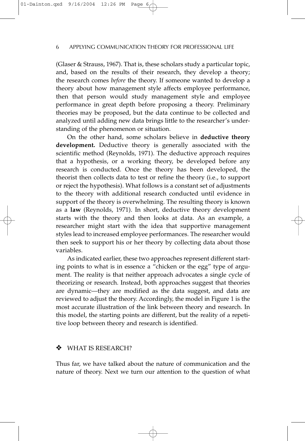(Glaser & Strauss, 1967). That is, these scholars study a particular topic, and, based on the results of their research, they develop a theory; the research comes *before* the theory. If someone wanted to develop a theory about how management style affects employee performance, then that person would study management style and employee performance in great depth before proposing a theory. Preliminary theories may be proposed, but the data continue to be collected and analyzed until adding new data brings little to the researcher's understanding of the phenomenon or situation.

On the other hand, some scholars believe in **deductive theory development.** Deductive theory is generally associated with the scientific method (Reynolds, 1971). The deductive approach requires that a hypothesis, or a working theory, be developed before any research is conducted. Once the theory has been developed, the theorist then collects data to test or refine the theory (i.e., to support or reject the hypothesis). What follows is a constant set of adjustments to the theory with additional research conducted until evidence in support of the theory is overwhelming. The resulting theory is known as a **law** (Reynolds, 1971). In short, deductive theory development starts with the theory and then looks at data. As an example, a researcher might start with the idea that supportive management styles lead to increased employee performances. The researcher would then seek to support his or her theory by collecting data about those variables.

As indicated earlier, these two approaches represent different starting points to what is in essence a "chicken or the egg" type of argument. The reality is that neither approach advocates a single cycle of theorizing or research. Instead, both approaches suggest that theories are dynamic—they are modified as the data suggest, and data are reviewed to adjust the theory. Accordingly, the model in Figure 1 is the most accurate illustration of the link between theory and research. In this model, the starting points are different, but the reality of a repetitive loop between theory and research is identified.

## ❖ WHAT IS RESEARCH?

Thus far, we have talked about the nature of communication and the nature of theory. Next we turn our attention to the question of what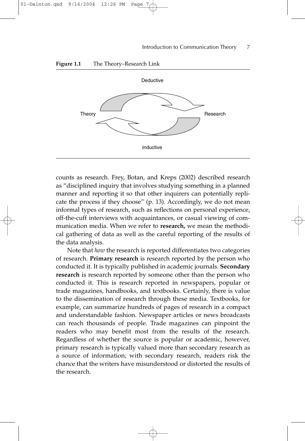

**Figure 1.1** The Theory–Research Link

01-Dainton.qxd 9/16/2004 12:26 PM

counts as research. Frey, Botan, and Kreps (2002) described research as "disciplined inquiry that involves studying something in a planned manner and reporting it so that other inquirers can potentially replicate the process if they choose" (p. 13). Accordingly, we do not mean informal types of research, such as reflections on personal experience, off-the-cuff interviews with acquaintances, or casual viewing of communication media. When we refer to **research,** we mean the methodical gathering of data as well as the careful reporting of the results of the data analysis.

Note that *how* the research is reported differentiates two categories of research. **Primary research** is research reported by the person who conducted it. It is typically published in academic journals. **Secondary research** is research reported by someone other than the person who conducted it. This is research reported in newspapers, popular or trade magazines, handbooks, and textbooks. Certainly, there is value to the dissemination of research through these media. Textbooks, for example, can summarize hundreds of pages of research in a compact and understandable fashion. Newspaper articles or news broadcasts can reach thousands of people. Trade magazines can pinpoint the readers who may benefit most from the results of the research. Regardless of whether the source is popular or academic, however, primary research is typically valued more than secondary research as a source of information; with secondary research, readers risk the chance that the writers have misunderstood or distorted the results of the research.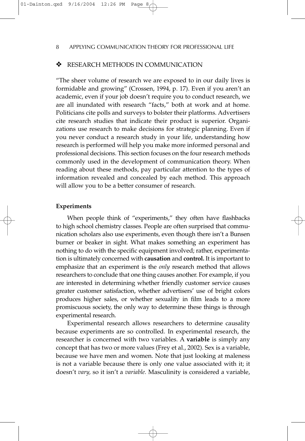## ❖ RESEARCH METHODS IN COMMUNICATION

"The sheer volume of research we are exposed to in our daily lives is formidable and growing" (Crossen, 1994, p. 17). Even if you aren't an academic, even if your job doesn't require you to conduct research, we are all inundated with research "facts," both at work and at home. Politicians cite polls and surveys to bolster their platforms. Advertisers cite research studies that indicate their product is superior. Organizations use research to make decisions for strategic planning. Even if you never conduct a research study in your life, understanding how research is performed will help you make more informed personal and professional decisions. This section focuses on the four research methods commonly used in the development of communication theory. When reading about these methods, pay particular attention to the types of information revealed and concealed by each method. This approach will allow you to be a better consumer of research.

#### **Experiments**

When people think of "experiments," they often have flashbacks to high school chemistry classes. People are often surprised that communication scholars also use experiments, even though there isn't a Bunsen burner or beaker in sight. What makes something an experiment has nothing to do with the specific equipment involved; rather, experimentation is ultimately concerned with **causation** and **control.** It is important to emphasize that an experiment is the *only* research method that allows researchers to conclude that one thing causes another. For example, if you are interested in determining whether friendly customer service causes greater customer satisfaction, whether advertisers' use of bright colors produces higher sales, or whether sexuality in film leads to a more promiscuous society, the only way to determine these things is through experimental research.

Experimental research allows researchers to determine causality because experiments are so controlled. In experimental research, the researcher is concerned with two variables. A **variable** is simply any concept that has two or more values (Frey et al., 2002). Sex is a variable, because we have men and women. Note that just looking at maleness is not a variable because there is only one value associated with it; it doesn't *vary,* so it isn't a *variable.* Masculinity is considered a variable,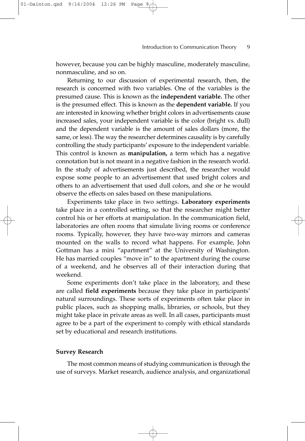however, because you can be highly masculine, moderately masculine, nonmasculine, and so on.

Returning to our discussion of experimental research, then, the research is concerned with two variables. One of the variables is the presumed cause. This is known as the **independent variable.** The other is the presumed effect. This is known as the **dependent variable.** If you are interested in knowing whether bright colors in advertisements cause increased sales, your independent variable is the color (bright vs. dull) and the dependent variable is the amount of sales dollars (more, the same, or less). The way the researcher determines causality is by carefully controlling the study participants' exposure to the independent variable. This control is known as **manipulation,** a term which has a negative connotation but is not meant in a negative fashion in the research world. In the study of advertisements just described, the researcher would expose some people to an advertisement that used bright colors and others to an advertisement that used dull colors, and she or he would observe the effects on sales based on these manipulations.

Experiments take place in two settings. **Laboratory experiments** take place in a controlled setting, so that the researcher might better control his or her efforts at manipulation. In the communication field, laboratories are often rooms that simulate living rooms or conference rooms. Typically, however, they have two-way mirrors and cameras mounted on the walls to record what happens. For example, John Gottman has a mini "apartment" at the University of Washington. He has married couples "move in" to the apartment during the course of a weekend, and he observes all of their interaction during that weekend.

Some experiments don't take place in the laboratory, and these are called **field experiments** because they take place in participants' natural surroundings. These sorts of experiments often take place in public places, such as shopping malls, libraries, or schools, but they might take place in private areas as well. In all cases, participants must agree to be a part of the experiment to comply with ethical standards set by educational and research institutions.

#### **Survey Research**

The most common means of studying communication is through the use of surveys. Market research, audience analysis, and organizational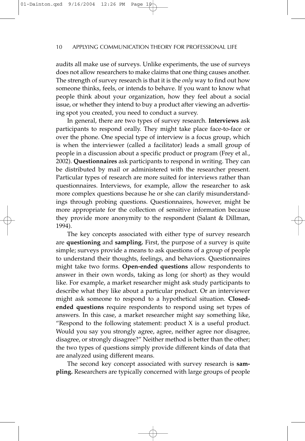audits all make use of surveys. Unlike experiments, the use of surveys does not allow researchers to make claims that one thing causes another. The strength of survey research is that it is the *only* way to find out how someone thinks, feels, or intends to behave. If you want to know what people think about your organization, how they feel about a social issue, or whether they intend to buy a product after viewing an advertising spot you created, you need to conduct a survey.

In general, there are two types of survey research. **Interviews** ask participants to respond orally. They might take place face-to-face or over the phone. One special type of interview is a focus group, which is when the interviewer (called a facilitator) leads a small group of people in a discussion about a specific product or program (Frey et al., 2002). **Questionnaires** ask participants to respond in writing. They can be distributed by mail or administered with the researcher present. Particular types of research are more suited for interviews rather than questionnaires. Interviews, for example, allow the researcher to ask more complex questions because he or she can clarify misunderstandings through probing questions. Questionnaires, however, might be more appropriate for the collection of sensitive information because they provide more anonymity to the respondent (Salant & Dillman, 1994).

The key concepts associated with either type of survey research are **questioning** and **sampling.** First, the purpose of a survey is quite simple; surveys provide a means to ask questions of a group of people to understand their thoughts, feelings, and behaviors. Questionnaires might take two forms. **Open-ended questions** allow respondents to answer in their own words, taking as long (or short) as they would like. For example, a market researcher might ask study participants to describe what they like about a particular product. Or an interviewer might ask someone to respond to a hypothetical situation. **Closedended questions** require respondents to respond using set types of answers. In this case, a market researcher might say something like, "Respond to the following statement: product  $X$  is a useful product. Would you say you strongly agree, agree, neither agree nor disagree, disagree, or strongly disagree?" Neither method is better than the other; the two types of questions simply provide different kinds of data that are analyzed using different means.

The second key concept associated with survey research is **sampling.** Researchers are typically concerned with large groups of people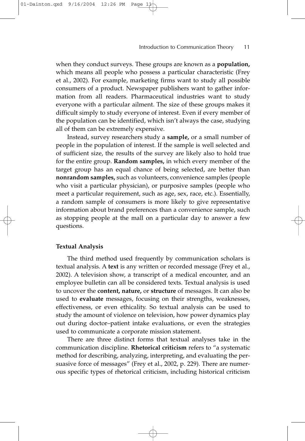when they conduct surveys. These groups are known as a **population,** which means all people who possess a particular characteristic (Frey et al., 2002). For example, marketing firms want to study all possible consumers of a product. Newspaper publishers want to gather information from all readers. Pharmaceutical industries want to study everyone with a particular ailment. The size of these groups makes it difficult simply to study everyone of interest. Even if every member of the population can be identified, which isn't always the case, studying all of them can be extremely expensive.

Instead, survey researchers study a **sample,** or a small number of people in the population of interest. If the sample is well selected and of sufficient size, the results of the survey are likely also to hold true for the entire group. **Random samples,** in which every member of the target group has an equal chance of being selected, are better than **nonrandom samples,** such as volunteers, convenience samples (people who visit a particular physician), or purposive samples (people who meet a particular requirement, such as age, sex, race, etc.). Essentially, a random sample of consumers is more likely to give representative information about brand preferences than a convenience sample, such as stopping people at the mall on a particular day to answer a few questions.

#### **Textual Analysis**

The third method used frequently by communication scholars is textual analysis. A **text** is any written or recorded message (Frey et al., 2002). A television show, a transcript of a medical encounter, and an employee bulletin can all be considered texts. Textual analysis is used to uncover the **content, nature,** or **structure** of messages. It can also be used to **evaluate** messages, focusing on their strengths, weaknesses, effectiveness, or even ethicality. So textual analysis can be used to study the amount of violence on television, how power dynamics play out during doctor–patient intake evaluations, or even the strategies used to communicate a corporate mission statement.

There are three distinct forms that textual analyses take in the communication discipline. **Rhetorical criticism** refers to "a systematic method for describing, analyzing, interpreting, and evaluating the persuasive force of messages" (Frey et al., 2002, p. 229). There are numerous specific types of rhetorical criticism, including historical criticism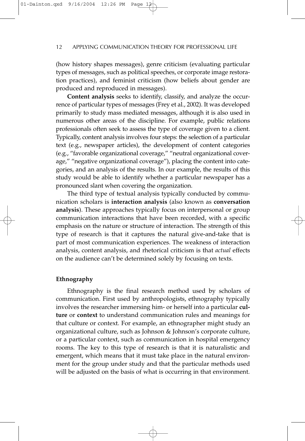(how history shapes messages), genre criticism (evaluating particular types of messages, such as political speeches, or corporate image restoration practices), and feminist criticism (how beliefs about gender are produced and reproduced in messages).

**Content analysis** seeks to identify, classify, and analyze the occurrence of particular types of messages (Frey et al., 2002). It was developed primarily to study mass mediated messages, although it is also used in numerous other areas of the discipline. For example, public relations professionals often seek to assess the type of coverage given to a client. Typically, content analysis involves four steps: the selection of a particular text (e.g., newspaper articles), the development of content categories (e.g., "favorable organizational coverage," "neutral organizational coverage," "negative organizational coverage"), placing the content into categories, and an analysis of the results. In our example, the results of this study would be able to identify whether a particular newspaper has a pronounced slant when covering the organization.

The third type of textual analysis typically conducted by communication scholars is **interaction analysis** (also known as **conversation analysis**). These approaches typically focus on interpersonal or group communication interactions that have been recorded, with a specific emphasis on the nature or structure of interaction. The strength of this type of research is that it captures the natural give-and-take that is part of most communication experiences. The weakness of interaction analysis, content analysis, and rhetorical criticism is that *actual* effects on the audience can't be determined solely by focusing on texts.

#### **Ethnography**

Ethnography is the final research method used by scholars of communication. First used by anthropologists, ethnography typically involves the researcher immersing him- or herself into a particular **culture** or **context** to understand communication rules and meanings for that culture or context. For example, an ethnographer might study an organizational culture, such as Johnson & Johnson's corporate culture, or a particular context, such as communication in hospital emergency rooms. The key to this type of research is that it is naturalistic and emergent, which means that it must take place in the natural environment for the group under study and that the particular methods used will be adjusted on the basis of what is occurring in that environment.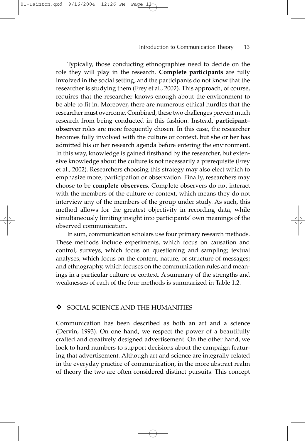Typically, those conducting ethnographies need to decide on the role they will play in the research. **Complete participants** are fully involved in the social setting, and the participants do not know that the researcher is studying them (Frey et al., 2002). This approach, of course, requires that the researcher knows enough about the environment to be able to fit in. Moreover, there are numerous ethical hurdles that the researcher must overcome. Combined, these two challenges prevent much research from being conducted in this fashion. Instead, **participant– observer** roles are more frequently chosen. In this case, the researcher becomes fully involved with the culture or context, but she or her has admitted his or her research agenda before entering the environment. In this way, knowledge is gained firsthand by the researcher, but extensive knowledge about the culture is not necessarily a prerequisite (Frey et al., 2002). Researchers choosing this strategy may also elect which to emphasize more, participation or observation. Finally, researchers may choose to be **complete observers.** Complete observers do not interact with the members of the culture or context, which means they do not interview any of the members of the group under study. As such, this method allows for the greatest objectivity in recording data, while simultaneously limiting insight into participants' own meanings of the observed communication.

In sum, communication scholars use four primary research methods. These methods include experiments, which focus on causation and control; surveys, which focus on questioning and sampling; textual analyses, which focus on the content, nature, or structure of messages; and ethnography, which focuses on the communication rules and meanings in a particular culture or context. A summary of the strengths and weaknesses of each of the four methods is summarized in Table 1.2.

# SOCIAL SCIENCE AND THE HUMANITIES

Communication has been described as both an art and a science (Dervin, 1993). On one hand, we respect the power of a beautifully crafted and creatively designed advertisement. On the other hand, we look to hard numbers to support decisions about the campaign featuring that advertisement. Although art and science are integrally related in the everyday practice of communication, in the more abstract realm of theory the two are often considered distinct pursuits. This concept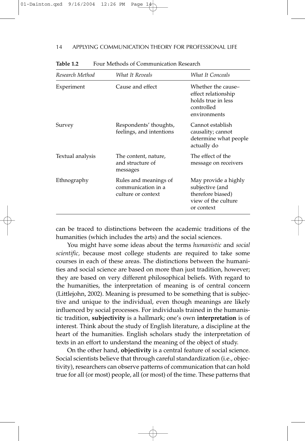| Research Method  | What It Reveals                                                   | What It Conceals                                                                                  |
|------------------|-------------------------------------------------------------------|---------------------------------------------------------------------------------------------------|
| Experiment       | Cause and effect                                                  | Whether the cause-<br>effect relationship<br>holds true in less<br>controlled<br>environments     |
| Survey           | Respondents' thoughts,<br>feelings, and intentions                | Cannot establish<br>causality; cannot<br>determine what people<br>actually do                     |
| Textual analysis | The content, nature,<br>and structure of<br>messages              | The effect of the<br>message on receivers                                                         |
| Ethnography      | Rules and meanings of<br>communication in a<br>culture or context | May provide a highly<br>subjective (and<br>therefore biased)<br>view of the culture<br>or context |

Table 1.2 Four Methods of Communication Research

can be traced to distinctions between the academic traditions of the humanities (which includes the arts) and the social sciences.

You might have some ideas about the terms *humanistic* and *social scientific,* because most college students are required to take some courses in each of these areas. The distinctions between the humanities and social science are based on more than just tradition, however; they are based on very different philosophical beliefs. With regard to the humanities, the interpretation of meaning is of central concern (Littlejohn, 2002). Meaning is presumed to be something that is subjective and unique to the individual, even though meanings are likely influenced by social processes. For individuals trained in the humanistic tradition, **subjectivity** is a hallmark; one's own **interpretation** is of interest. Think about the study of English literature, a discipline at the heart of the humanities. English scholars study the interpretation of texts in an effort to understand the meaning of the object of study.

On the other hand, **objectivity** is a central feature of social science. Social scientists believe that through careful standardization (i.e., objectivity), researchers can observe patterns of communication that can hold true for all (or most) people, all (or most) of the time. These patterns that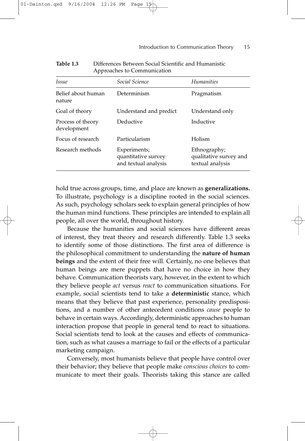| <i>Issue</i>                     | Social Science                                              | <i>Humanities</i>                                          |
|----------------------------------|-------------------------------------------------------------|------------------------------------------------------------|
| Belief about human<br>nature     | Determinism                                                 | Pragmatism                                                 |
| Goal of theory                   | Understand and predict                                      | Understand only                                            |
| Process of theory<br>development | Deductive                                                   | Inductive                                                  |
| Focus of research                | Particularism                                               | Holism                                                     |
| Research methods                 | Experiments;<br>quantitative survey<br>and textual analysis | Ethnography;<br>qualitative survey and<br>textual analysis |

| Table 1.3 | Differences Between Social Scientific and Humanistic |
|-----------|------------------------------------------------------|
|           | Approaches to Communication                          |

01-Dainton.qxd 9/16/2004 12:26

hold true across groups, time, and place are known as **generalizations.** To illustrate, psychology is a discipline rooted in the social sciences. As such, psychology scholars seek to explain general principles of how the human mind functions. These principles are intended to explain all people, all over the world, throughout history.

Because the humanities and social sciences have different areas of interest, they treat theory and research differently. Table 1.3 seeks to identify some of those distinctions. The first area of difference is the philosophical commitment to understanding the **nature of human beings** and the extent of their free will. Certainly, no one believes that human beings are mere puppets that have no choice in how they behave. Communication theorists vary, however, in the extent to which they believe people *act* versus *react* to communication situations. For example, social scientists tend to take a **deterministic** stance, which means that they believe that past experience, personality predispositions, and a number of other antecedent conditions *cause* people to behave in certain ways. Accordingly, deterministic approaches to human interaction propose that people in general tend to react to situations. Social scientists tend to look at the causes and effects of communication, such as what causes a marriage to fail or the effects of a particular marketing campaign.

Conversely, most humanists believe that people have control over their behavior; they believe that people make *conscious choices* to communicate to meet their goals. Theorists taking this stance are called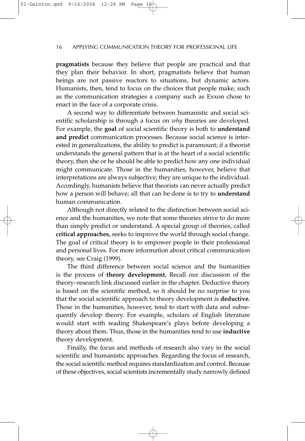**pragmatists** because they believe that people are practical and that they plan their behavior. In short, pragmatists believe that human beings are not passive reactors to situations, but dynamic actors. Humanists, then, tend to focus on the choices that people make, such as the communication strategies a company such as Exxon chose to enact in the face of a corporate crisis.

A second way to differentiate between humanistic and social scientific scholarship is through a focus on *why* theories are developed. For example, the **goal** of social scientific theory is both to **understand and predict** communication processes. Because social science is interested in generalizations, the ability to predict is paramount; if a theorist understands the general pattern that is at the heart of a social scientific theory, then she or he should be able to predict how any one individual might communicate. Those in the humanities, however, believe that interpretations are always subjective; they are unique to the individual. Accordingly, humanists believe that theorists can never actually predict how a person will behave; all that can be done is to try to **understand** human communication.

Although not directly related to the distinction between social science and the humanities, we note that some theories strive to do more than simply predict or understand. A special group of theories, called **critical approaches,** seeks to improve the world through social change. The goal of critical theory is to empower people in their professional and personal lives. For more information about critical communication theory, see Craig (1999).

The third difference between social science and the humanities is the process of **theory development.** Recall our discussion of the theory–research link discussed earlier in the chapter. Deductive theory is based on the scientific method, so it should be no surprise to you that the social scientific approach to theory development is **deductive.** Those in the humanities, however, tend to start with data and subsequently develop theory. For example, scholars of English literature would start with reading Shakespeare's plays before developing a theory about them. Thus, those in the humanities tend to use **inductive** theory development.

Finally, the focus and methods of research also vary in the social scientific and humanistic approaches. Regarding the focus of research, the social scientific method requires standardization and control. Because of these objectives, social scientists incrementally study narrowly defined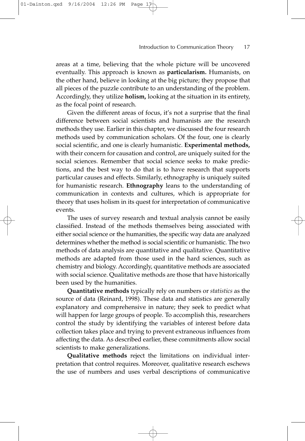01-Dainton.qxd 9/16/2004 12:26

areas at a time, believing that the whole picture will be uncovered eventually. This approach is known as **particularism.** Humanists, on the other hand, believe in looking at the big picture; they propose that all pieces of the puzzle contribute to an understanding of the problem. Accordingly, they utilize **holism,** looking at the situation in its entirety, as the focal point of research.

Given the different areas of focus, it's not a surprise that the final difference between social scientists and humanists are the research methods they use. Earlier in this chapter, we discussed the four research methods used by communication scholars. Of the four, one is clearly social scientific, and one is clearly humanistic. **Experimental methods,** with their concern for causation and control, are uniquely suited for the social sciences. Remember that social science seeks to make predictions, and the best way to do that is to have research that supports particular causes and effects. Similarly, ethnography is uniquely suited for humanistic research. **Ethnography** leans to the understanding of communication in contexts and cultures, which is appropriate for theory that uses holism in its quest for interpretation of communicative events.

The uses of survey research and textual analysis cannot be easily classified. Instead of the methods themselves being associated with either social science or the humanities, the specific way data are analyzed determines whether the method is social scientific or humanistic. The two methods of data analysis are quantitative and qualitative. Quantitative methods are adapted from those used in the hard sciences, such as chemistry and biology. Accordingly, quantitative methods are associated with social science. Qualitative methods are those that have historically been used by the humanities.

**Quantitative methods** typically rely on numbers or *statistics* as the source of data (Reinard, 1998). These data and statistics are generally explanatory and comprehensive in nature; they seek to predict what will happen for large groups of people. To accomplish this, researchers control the study by identifying the variables of interest before data collection takes place and trying to prevent extraneous influences from affecting the data. As described earlier, these commitments allow social scientists to make generalizations.

**Qualitative methods** reject the limitations on individual interpretation that control requires. Moreover, qualitative research eschews the use of numbers and uses verbal descriptions of communicative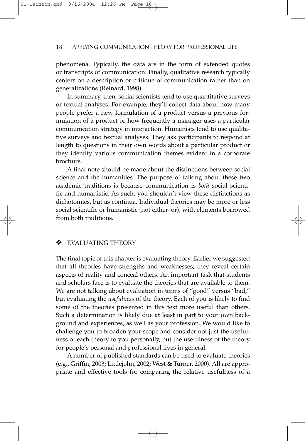phenomena. Typically, the data are in the form of extended quotes or transcripts of communication. Finally, qualitative research typically centers on a description or critique of communication rather than on generalizations (Reinard, 1998).

In summary, then, social scientists tend to use quantitative surveys or textual analyses. For example, they'll collect data about how many people prefer a new formulation of a product versus a previous formulation of a product or how frequently a manager uses a particular communication strategy in interaction. Humanists tend to use qualitative surveys and textual analyses. They ask participants to respond at length to questions in their own words about a particular product or they identify various communication themes evident in a corporate brochure.

A final note should be made about the distinctions between social science and the humanities. The purpose of talking about these two academic traditions is because communication is *both* social scientific and humanistic. As such, you shouldn't view these distinctions as dichotomies, but as continua. Individual theories may be more or less social scientific or humanistic (not either–or), with elements borrowed from both traditions.

## ❖ EVALUATING THEORY

The final topic of this chapter is evaluating theory. Earlier we suggested that all theories have strengths and weaknesses; they reveal certain aspects of reality and conceal others. An important task that students and scholars face is to evaluate the theories that are available to them. We are not talking about evaluation in terms of "good" versus "bad," but evaluating the *usefulness* of the theory. Each of you is likely to find some of the theories presented in this text more useful than others. Such a determination is likely due at least in part to your own background and experiences, as well as your profession. We would like to challenge you to broaden your scope and consider not just the usefulness of each theory to you personally, but the usefulness of the theory for people's personal and professional lives in general.

A number of published standards can be used to evaluate theories (e.g., Griffin, 2003; Littlejohn, 2002; West & Turner, 2000). All are appropriate and effective tools for comparing the relative usefulness of a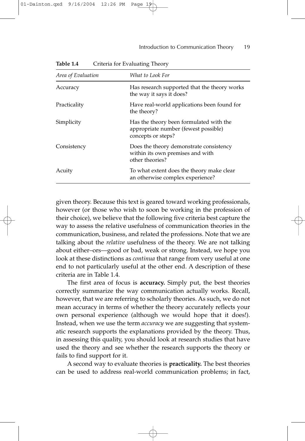| Area of Evaluation | What to Look For                                                                                      |
|--------------------|-------------------------------------------------------------------------------------------------------|
| Accuracy           | Has research supported that the theory works<br>the way it says it does?                              |
| Practicality       | Have real-world applications been found for<br>the theory?                                            |
| Simplicity         | Has the theory been formulated with the<br>appropriate number (fewest possible)<br>concepts or steps? |
| Consistency        | Does the theory demonstrate consistency<br>within its own premises and with<br>other theories?        |
| Acuity             | To what extent does the theory make clear<br>an otherwise complex experience?                         |

**Table 1.4** Criteria for Evaluating Theory

01-Dainton.qxd 9/16/2004 12:26

given theory. Because this text is geared toward working professionals, however (or those who wish to soon be working in the profession of their choice), we believe that the following five criteria best capture the way to assess the relative usefulness of communication theories in the communication, business, and related the professions. Note that we are talking about the *relative* usefulness of the theory. We are not talking about either–ors—good or bad, weak or strong. Instead, we hope you look at these distinctions as *continua* that range from very useful at one end to not particularly useful at the other end. A description of these criteria are in Table 1.4.

The first area of focus is **accuracy.** Simply put, the best theories correctly summarize the way communication actually works. Recall, however, that we are referring to scholarly theories. As such, we do not mean accuracy in terms of whether the theory accurately reflects your own personal experience (although we would hope that it does!). Instead, when we use the term *accuracy* we are suggesting that systematic research supports the explanations provided by the theory. Thus, in assessing this quality, you should look at research studies that have used the theory and see whether the research supports the theory or fails to find support for it.

A second way to evaluate theories is **practicality.** The best theories can be used to address real-world communication problems; in fact,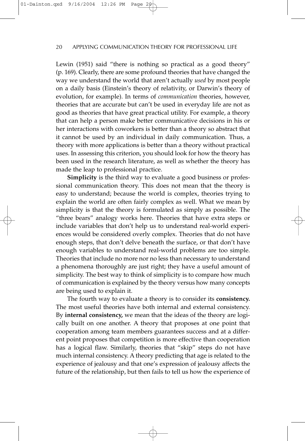Lewin (1951) said "there is nothing so practical as a good theory" (p. 169). Clearly, there are some profound theories that have changed the way we understand the world that aren't actually *used* by most people on a daily basis (Einstein's theory of relativity, or Darwin's theory of evolution, for example). In terms of *communication* theories, however, theories that are accurate but can't be used in everyday life are not as good as theories that have great practical utility. For example, a theory that can help a person make better communicative decisions in his or her interactions with coworkers is better than a theory so abstract that it cannot be used by an individual in daily communication. Thus, a theory with more applications is better than a theory without practical uses. In assessing this criterion, you should look for how the theory has been used in the research literature, as well as whether the theory has made the leap to professional practice.

**Simplicity** is the third way to evaluate a good business or professional communication theory. This does not mean that the theory is easy to understand; because the world is complex, theories trying to explain the world are often fairly complex as well. What we mean by simplicity is that the theory is formulated as simply as possible. The "three bears" analogy works here. Theories that have extra steps or include variables that don't help us to understand real-world experiences would be considered overly complex. Theories that do not have enough steps, that don't delve beneath the surface, or that don't have enough variables to understand real-world problems are too simple. Theories that include no more nor no less than necessary to understand a phenomena thoroughly are just right; they have a useful amount of simplicity. The best way to think of simplicity is to compare how much of communication is explained by the theory versus how many concepts are being used to explain it.

The fourth way to evaluate a theory is to consider its **consistency.** The most useful theories have both internal and external consistency. By **internal consistency,** we mean that the ideas of the theory are logically built on one another. A theory that proposes at one point that cooperation among team members guarantees success and at a different point proposes that competition is more effective than cooperation has a logical flaw. Similarly, theories that "skip" steps do not have much internal consistency. A theory predicting that age is related to the experience of jealousy and that one's expression of jealousy affects the future of the relationship, but then fails to tell us how the experience of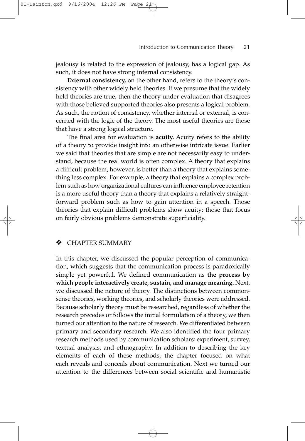jealousy is related to the expression of jealousy, has a logical gap. As such, it does not have strong internal consistency.

**External consistency,** on the other hand, refers to the theory's consistency with other widely held theories. If we presume that the widely held theories are true, then the theory under evaluation that disagrees with those believed supported theories also presents a logical problem. As such, the notion of consistency, whether internal or external, is concerned with the logic of the theory. The most useful theories are those that have a strong logical structure.

The final area for evaluation is **acuity.** Acuity refers to the ability of a theory to provide insight into an otherwise intricate issue. Earlier we said that theories that are simple are not necessarily easy to understand, because the real world is often complex. A theory that explains a difficult problem, however, is better than a theory that explains something less complex. For example, a theory that explains a complex problem such as how organizational cultures can influence employee retention is a more useful theory than a theory that explains a relatively straightforward problem such as how to gain attention in a speech. Those theories that explain difficult problems show acuity; those that focus on fairly obvious problems demonstrate superficiality.

## ❖ CHAPTER SUMMARY

In this chapter, we discussed the popular perception of communication, which suggests that the communication process is paradoxically simple yet powerful. We defined communication as **the process by which people interactively create, sustain, and manage meaning.** Next, we discussed the nature of theory. The distinctions between commonsense theories, working theories, and scholarly theories were addressed. Because scholarly theory must be researched, regardless of whether the research precedes or follows the initial formulation of a theory, we then turned our attention to the nature of research. We differentiated between primary and secondary research. We also identified the four primary research methods used by communication scholars: experiment, survey, textual analysis, and ethnography. In addition to describing the key elements of each of these methods, the chapter focused on what each reveals and conceals about communication. Next we turned our attention to the differences between social scientific and humanistic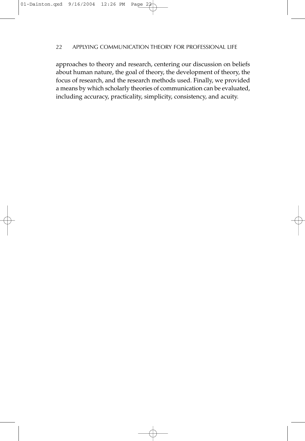approaches to theory and research, centering our discussion on beliefs about human nature, the goal of theory, the development of theory, the focus of research, and the research methods used. Finally, we provided a means by which scholarly theories of communication can be evaluated, including accuracy, practicality, simplicity, consistency, and acuity.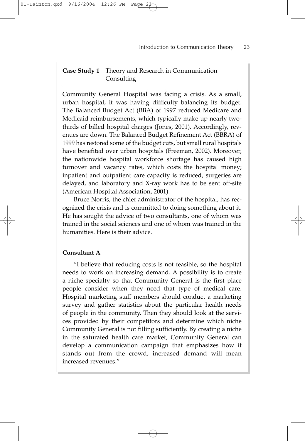**Case Study 1** Theory and Research in Communication Consulting

Community General Hospital was facing a crisis. As a small, urban hospital, it was having difficulty balancing its budget. The Balanced Budget Act (BBA) of 1997 reduced Medicare and Medicaid reimbursements, which typically make up nearly twothirds of billed hospital charges (Jones, 2001). Accordingly, revenues are down. The Balanced Budget Refinement Act (BBRA) of 1999 has restored some of the budget cuts, but small rural hospitals have benefited over urban hospitals (Freeman, 2002). Moreover, the nationwide hospital workforce shortage has caused high turnover and vacancy rates, which costs the hospital money; inpatient and outpatient care capacity is reduced, surgeries are delayed, and laboratory and X-ray work has to be sent off-site (American Hospital Association, 2001).

Bruce Norris, the chief administrator of the hospital, has recognized the crisis and is committed to doing something about it. He has sought the advice of two consultants, one of whom was trained in the social sciences and one of whom was trained in the humanities. Here is their advice.

# **Consultant A**

"I believe that reducing costs is not feasible, so the hospital needs to work on increasing demand. A possibility is to create a niche specialty so that Community General is the first place people consider when they need that type of medical care. Hospital marketing staff members should conduct a marketing survey and gather statistics about the particular health needs of people in the community. Then they should look at the services provided by their competitors and determine which niche Community General is not filling sufficiently. By creating a niche in the saturated health care market, Community General can develop a communication campaign that emphasizes how it stands out from the crowd; increased demand will mean increased revenues."